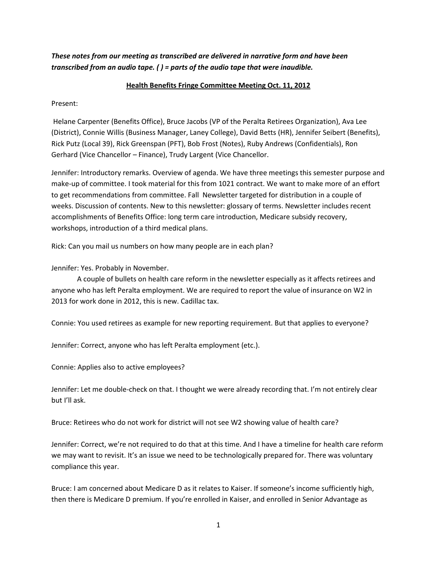*These notes from our meeting as transcribed are delivered in narrative form and have been transcribed from an audio tape. ( ) = parts of the audio tape that were inaudible.*

## **Health Benefits Fringe Committee Meeting Oct. 11, 2012**

Present:

Helane Carpenter (Benefits Office), Bruce Jacobs (VP of the Peralta Retirees Organization), Ava Lee (District), Connie Willis (Business Manager, Laney College), David Betts (HR), Jennifer Seibert (Benefits), Rick Putz (Local 39), Rick Greenspan (PFT), Bob Frost (Notes), Ruby Andrews (Confidentials), Ron Gerhard (Vice Chancellor – Finance), Trudy Largent (Vice Chancellor.

Jennifer: Introductory remarks. Overview of agenda. We have three meetings this semester purpose and make-up of committee. I took material for this from 1021 contract. We want to make more of an effort to get recommendations from committee. Fall Newsletter targeted for distribution in a couple of weeks. Discussion of contents. New to this newsletter: glossary of terms. Newsletter includes recent accomplishments of Benefits Office: long term care introduction, Medicare subsidy recovery, workshops, introduction of a third medical plans.

Rick: Can you mail us numbers on how many people are in each plan?

Jennifer: Yes. Probably in November.

A couple of bullets on health care reform in the newsletter especially as it affects retirees and anyone who has left Peralta employment. We are required to report the value of insurance on W2 in 2013 for work done in 2012, this is new. Cadillac tax.

Connie: You used retirees as example for new reporting requirement. But that applies to everyone?

Jennifer: Correct, anyone who has left Peralta employment (etc.).

Connie: Applies also to active employees?

Jennifer: Let me double-check on that. I thought we were already recording that. I'm not entirely clear but I'll ask.

Bruce: Retirees who do not work for district will not see W2 showing value of health care?

Jennifer: Correct, we're not required to do that at this time. And I have a timeline for health care reform we may want to revisit. It's an issue we need to be technologically prepared for. There was voluntary compliance this year.

Bruce: I am concerned about Medicare D as it relates to Kaiser. If someone's income sufficiently high, then there is Medicare D premium. If you're enrolled in Kaiser, and enrolled in Senior Advantage as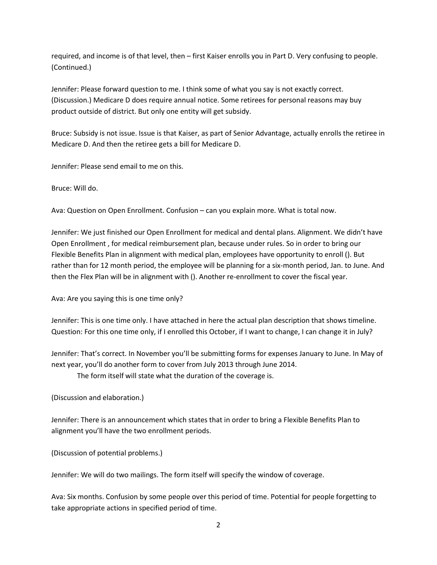required, and income is of that level, then – first Kaiser enrolls you in Part D. Very confusing to people. (Continued.)

Jennifer: Please forward question to me. I think some of what you say is not exactly correct. (Discussion.) Medicare D does require annual notice. Some retirees for personal reasons may buy product outside of district. But only one entity will get subsidy.

Bruce: Subsidy is not issue. Issue is that Kaiser, as part of Senior Advantage, actually enrolls the retiree in Medicare D. And then the retiree gets a bill for Medicare D.

Jennifer: Please send email to me on this.

Bruce: Will do.

Ava: Question on Open Enrollment. Confusion – can you explain more. What is total now.

Jennifer: We just finished our Open Enrollment for medical and dental plans. Alignment. We didn't have Open Enrollment , for medical reimbursement plan, because under rules. So in order to bring our Flexible Benefits Plan in alignment with medical plan, employees have opportunity to enroll (). But rather than for 12 month period, the employee will be planning for a six-month period, Jan. to June. And then the Flex Plan will be in alignment with (). Another re-enrollment to cover the fiscal year.

Ava: Are you saying this is one time only?

Jennifer: This is one time only. I have attached in here the actual plan description that shows timeline. Question: For this one time only, if I enrolled this October, if I want to change, I can change it in July?

Jennifer: That's correct. In November you'll be submitting forms for expenses January to June. In May of next year, you'll do another form to cover from July 2013 through June 2014.

The form itself will state what the duration of the coverage is.

(Discussion and elaboration.)

Jennifer: There is an announcement which states that in order to bring a Flexible Benefits Plan to alignment you'll have the two enrollment periods.

(Discussion of potential problems.)

Jennifer: We will do two mailings. The form itself will specify the window of coverage.

Ava: Six months. Confusion by some people over this period of time. Potential for people forgetting to take appropriate actions in specified period of time.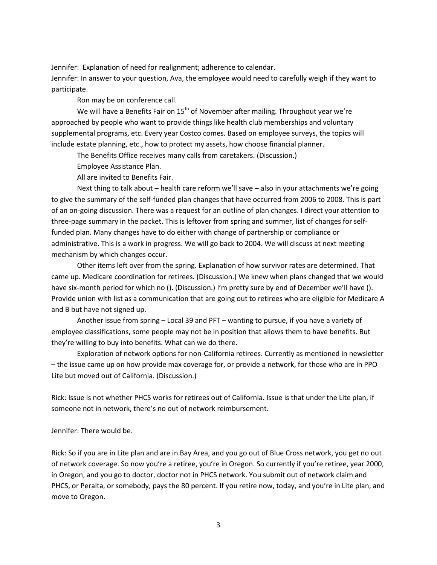Jennifer: Explanation of need for realignment; adherence to calendar.

Jennifer: In answer to your question, Ava, the employee would need to carefully weigh if they want to participate.

Ron may be on conference call.

We will have a Benefits Fair on  $15<sup>th</sup>$  of November after mailing. Throughout year we're approached by people who want to provide things like health club memberships and voluntary supplemental programs, etc. Every year Costco comes. Based on employee surveys, the topics will include estate planning, etc., how to protect my assets, how choose financial planner.

The Benefits Office receives many calls from caretakers. (Discussion.)

Employee Assistance Plan.

All are invited to Benefits Fair.

Next thing to talk about – health care reform we'll save – also in your attachments we're going to give the summary of the self-funded plan changes that have occurred from 2006 to 2008. This is part of an on-going discussion. There was a request for an outline of plan changes. I direct your attention to three-page summary in the packet. This is leftover from spring and summer, list of changes for selffunded plan. Many changes have to do either with change of partnership or compliance or administrative. This is a work in progress. We will go back to 2004. We will discuss at next meeting mechanism by which changes occur.

Other items left over from the spring. Explanation of how survivor rates are determined. That came up. Medicare coordination for retirees. (Discussion.) We knew when plans changed that we would have six-month period for which no (). (Discussion.) I'm pretty sure by end of December we'll have (). Provide union with list as a communication that are going out to retirees who are eligible for Medicare A and B but have not signed up.

Another issue from spring – Local 39 and PFT – wanting to pursue, if you have a variety of employee classifications, some people may not be in position that allows them to have benefits. But they're willing to buy into benefits. What can we do there.

Exploration of network options for non-California retirees. Currently as mentioned in newsletter – the issue came up on how provide max coverage for, or provide a network, for those who are in PPO Lite but moved out of California. (Discussion.)

Rick: Issue is not whether PHCS works for retirees out of California. Issue is that under the Lite plan, if someone not in network, there's no out of network reimbursement.

Jennifer: There would be.

Rick: So if you are in Lite plan and are in Bay Area, and you go out of Blue Cross network, you get no out of network coverage. So now you're a retiree, you're in Oregon. So currently if you're retiree, year 2000, in Oregon, and you go to doctor, doctor not in PHCS network. You submit out of network claim and PHCS, or Peralta, or somebody, pays the 80 percent. If you retire now, today, and you're in Lite plan, and move to Oregon.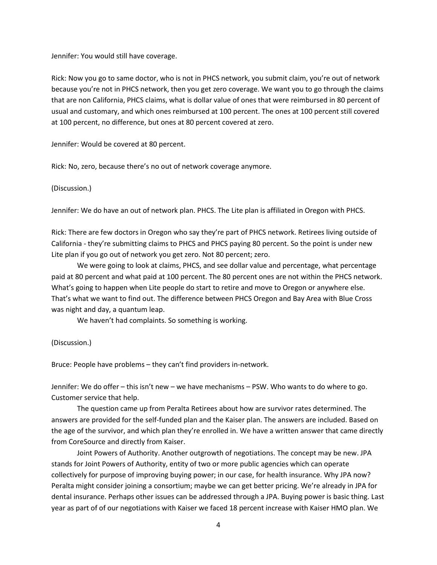Jennifer: You would still have coverage.

Rick: Now you go to same doctor, who is not in PHCS network, you submit claim, you're out of network because you're not in PHCS network, then you get zero coverage. We want you to go through the claims that are non California, PHCS claims, what is dollar value of ones that were reimbursed in 80 percent of usual and customary, and which ones reimbursed at 100 percent. The ones at 100 percent still covered at 100 percent, no difference, but ones at 80 percent covered at zero.

Jennifer: Would be covered at 80 percent.

Rick: No, zero, because there's no out of network coverage anymore.

## (Discussion.)

Jennifer: We do have an out of network plan. PHCS. The Lite plan is affiliated in Oregon with PHCS.

Rick: There are few doctors in Oregon who say they're part of PHCS network. Retirees living outside of California - they're submitting claims to PHCS and PHCS paying 80 percent. So the point is under new Lite plan if you go out of network you get zero. Not 80 percent; zero.

We were going to look at claims, PHCS, and see dollar value and percentage, what percentage paid at 80 percent and what paid at 100 percent. The 80 percent ones are not within the PHCS network. What's going to happen when Lite people do start to retire and move to Oregon or anywhere else. That's what we want to find out. The difference between PHCS Oregon and Bay Area with Blue Cross was night and day, a quantum leap.

We haven't had complaints. So something is working.

## (Discussion.)

Bruce: People have problems – they can't find providers in-network.

Jennifer: We do offer – this isn't new – we have mechanisms – PSW. Who wants to do where to go. Customer service that help.

The question came up from Peralta Retirees about how are survivor rates determined. The answers are provided for the self-funded plan and the Kaiser plan. The answers are included. Based on the age of the survivor, and which plan they're enrolled in. We have a written answer that came directly from CoreSource and directly from Kaiser.

Joint Powers of Authority. Another outgrowth of negotiations. The concept may be new. JPA stands for Joint Powers of Authority, entity of two or more public agencies which can operate collectively for purpose of improving buying power; in our case, for health insurance. Why JPA now? Peralta might consider joining a consortium; maybe we can get better pricing. We're already in JPA for dental insurance. Perhaps other issues can be addressed through a JPA. Buying power is basic thing. Last year as part of of our negotiations with Kaiser we faced 18 percent increase with Kaiser HMO plan. We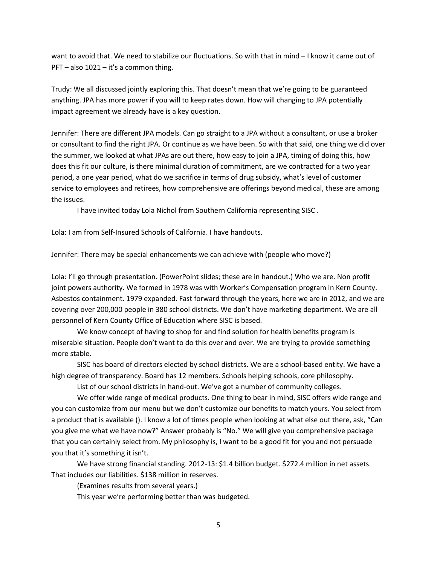want to avoid that. We need to stabilize our fluctuations. So with that in mind – I know it came out of PFT – also 1021 – it's a common thing.

Trudy: We all discussed jointly exploring this. That doesn't mean that we're going to be guaranteed anything. JPA has more power if you will to keep rates down. How will changing to JPA potentially impact agreement we already have is a key question.

Jennifer: There are different JPA models. Can go straight to a JPA without a consultant, or use a broker or consultant to find the right JPA. Or continue as we have been. So with that said, one thing we did over the summer, we looked at what JPAs are out there, how easy to join a JPA, timing of doing this, how does this fit our culture, is there minimal duration of commitment, are we contracted for a two year period, a one year period, what do we sacrifice in terms of drug subsidy, what's level of customer service to employees and retirees, how comprehensive are offerings beyond medical, these are among the issues.

I have invited today Lola Nichol from Southern California representing SISC .

Lola: I am from Self-Insured Schools of California. I have handouts.

Jennifer: There may be special enhancements we can achieve with (people who move?)

Lola: I'll go through presentation. (PowerPoint slides; these are in handout.) Who we are. Non profit joint powers authority. We formed in 1978 was with Worker's Compensation program in Kern County. Asbestos containment. 1979 expanded. Fast forward through the years, here we are in 2012, and we are covering over 200,000 people in 380 school districts. We don't have marketing department. We are all personnel of Kern County Office of Education where SISC is based.

We know concept of having to shop for and find solution for health benefits program is miserable situation. People don't want to do this over and over. We are trying to provide something more stable.

SISC has board of directors elected by school districts. We are a school-based entity. We have a high degree of transparency. Board has 12 members. Schools helping schools, core philosophy.

List of our school districts in hand-out. We've got a number of community colleges.

We offer wide range of medical products. One thing to bear in mind, SISC offers wide range and you can customize from our menu but we don't customize our benefits to match yours. You select from a product that is available (). I know a lot of times people when looking at what else out there, ask, "Can you give me what we have now?" Answer probably is "No." We will give you comprehensive package that you can certainly select from. My philosophy is, I want to be a good fit for you and not persuade you that it's something it isn't.

We have strong financial standing. 2012-13: \$1.4 billion budget. \$272.4 million in net assets. That includes our liabilities. \$138 million in reserves.

(Examines results from several years.)

This year we're performing better than was budgeted.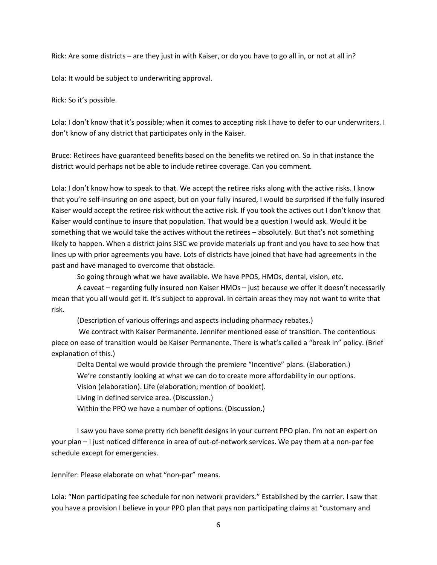Rick: Are some districts – are they just in with Kaiser, or do you have to go all in, or not at all in?

Lola: It would be subject to underwriting approval.

Rick: So it's possible.

Lola: I don't know that it's possible; when it comes to accepting risk I have to defer to our underwriters. I don't know of any district that participates only in the Kaiser.

Bruce: Retirees have guaranteed benefits based on the benefits we retired on. So in that instance the district would perhaps not be able to include retiree coverage. Can you comment.

Lola: I don't know how to speak to that. We accept the retiree risks along with the active risks. I know that you're self-insuring on one aspect, but on your fully insured, I would be surprised if the fully insured Kaiser would accept the retiree risk without the active risk. If you took the actives out I don't know that Kaiser would continue to insure that population. That would be a question I would ask. Would it be something that we would take the actives without the retirees – absolutely. But that's not something likely to happen. When a district joins SISC we provide materials up front and you have to see how that lines up with prior agreements you have. Lots of districts have joined that have had agreements in the past and have managed to overcome that obstacle.

So going through what we have available. We have PPOS, HMOs, dental, vision, etc.

A caveat – regarding fully insured non Kaiser HMOs – just because we offer it doesn't necessarily mean that you all would get it. It's subject to approval. In certain areas they may not want to write that risk.

(Description of various offerings and aspects including pharmacy rebates.)

We contract with Kaiser Permanente. Jennifer mentioned ease of transition. The contentious piece on ease of transition would be Kaiser Permanente. There is what's called a "break in" policy. (Brief explanation of this.)

Delta Dental we would provide through the premiere "Incentive" plans. (Elaboration.) We're constantly looking at what we can do to create more affordability in our options. Vision (elaboration). Life (elaboration; mention of booklet).

Living in defined service area. (Discussion.)

Within the PPO we have a number of options. (Discussion.)

I saw you have some pretty rich benefit designs in your current PPO plan. I'm not an expert on your plan – I just noticed difference in area of out-of-network services. We pay them at a non-par fee schedule except for emergencies.

Jennifer: Please elaborate on what "non-par" means.

Lola: "Non participating fee schedule for non network providers." Established by the carrier. I saw that you have a provision I believe in your PPO plan that pays non participating claims at "customary and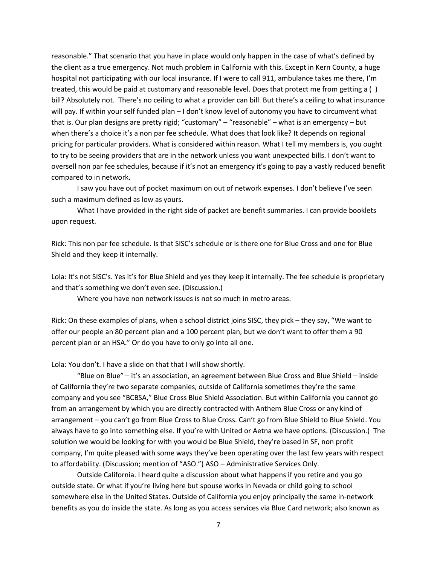reasonable." That scenario that you have in place would only happen in the case of what's defined by the client as a true emergency. Not much problem in California with this. Except in Kern County, a huge hospital not participating with our local insurance. If I were to call 911, ambulance takes me there, I'm treated, this would be paid at customary and reasonable level. Does that protect me from getting a ( ) bill? Absolutely not. There's no ceiling to what a provider can bill. But there's a ceiling to what insurance will pay. If within your self funded plan – I don't know level of autonomy you have to circumvent what that is. Our plan designs are pretty rigid; "customary" – "reasonable" – what is an emergency – but when there's a choice it's a non par fee schedule. What does that look like? It depends on regional pricing for particular providers. What is considered within reason. What I tell my members is, you ought to try to be seeing providers that are in the network unless you want unexpected bills. I don't want to oversell non par fee schedules, because if it's not an emergency it's going to pay a vastly reduced benefit compared to in network.

I saw you have out of pocket maximum on out of network expenses. I don't believe I've seen such a maximum defined as low as yours.

What I have provided in the right side of packet are benefit summaries. I can provide booklets upon request.

Rick: This non par fee schedule. Is that SISC's schedule or is there one for Blue Cross and one for Blue Shield and they keep it internally.

Lola: It's not SISC's. Yes it's for Blue Shield and yes they keep it internally. The fee schedule is proprietary and that's something we don't even see. (Discussion.)

Where you have non network issues is not so much in metro areas.

Rick: On these examples of plans, when a school district joins SISC, they pick – they say, "We want to offer our people an 80 percent plan and a 100 percent plan, but we don't want to offer them a 90 percent plan or an HSA." Or do you have to only go into all one.

Lola: You don't. I have a slide on that that I will show shortly.

"Blue on Blue" – it's an association, an agreement between Blue Cross and Blue Shield – inside of California they're two separate companies, outside of California sometimes they're the same company and you see "BCBSA," Blue Cross Blue Shield Association. But within California you cannot go from an arrangement by which you are directly contracted with Anthem Blue Cross or any kind of arrangement – you can't go from Blue Cross to Blue Cross. Can't go from Blue Shield to Blue Shield. You always have to go into something else. If you're with United or Aetna we have options. (Discussion.) The solution we would be looking for with you would be Blue Shield, they're based in SF, non profit company, I'm quite pleased with some ways they've been operating over the last few years with respect to affordability. (Discussion; mention of "ASO.") ASO – Administrative Services Only.

Outside California. I heard quite a discussion about what happens if you retire and you go outside state. Or what if you're living here but spouse works in Nevada or child going to school somewhere else in the United States. Outside of California you enjoy principally the same in-network benefits as you do inside the state. As long as you access services via Blue Card network; also known as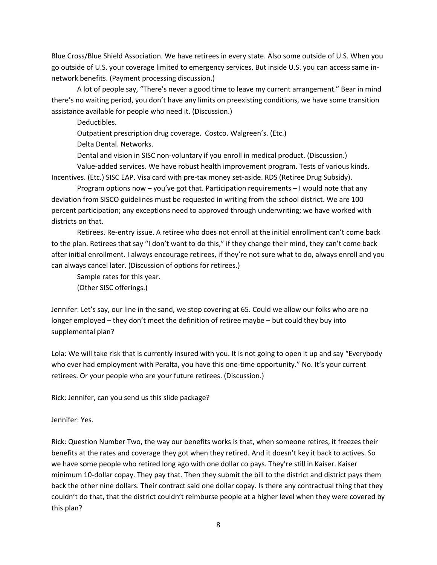Blue Cross/Blue Shield Association. We have retirees in every state. Also some outside of U.S. When you go outside of U.S. your coverage limited to emergency services. But inside U.S. you can access same innetwork benefits. (Payment processing discussion.)

A lot of people say, "There's never a good time to leave my current arrangement." Bear in mind there's no waiting period, you don't have any limits on preexisting conditions, we have some transition assistance available for people who need it. (Discussion.)

Deductibles.

Outpatient prescription drug coverage. Costco. Walgreen's. (Etc.)

Delta Dental. Networks.

Dental and vision in SISC non-voluntary if you enroll in medical product. (Discussion.)

Value-added services. We have robust health improvement program. Tests of various kinds. Incentives. (Etc.) SISC EAP. Visa card with pre-tax money set-aside. RDS (Retiree Drug Subsidy).

Program options now – you've got that. Participation requirements – I would note that any deviation from SISCO guidelines must be requested in writing from the school district. We are 100 percent participation; any exceptions need to approved through underwriting; we have worked with districts on that.

Retirees. Re-entry issue. A retiree who does not enroll at the initial enrollment can't come back to the plan. Retirees that say "I don't want to do this," if they change their mind, they can't come back after initial enrollment. I always encourage retirees, if they're not sure what to do, always enroll and you can always cancel later. (Discussion of options for retirees.)

Sample rates for this year.

(Other SISC offerings.)

Jennifer: Let's say, our line in the sand, we stop covering at 65. Could we allow our folks who are no longer employed – they don't meet the definition of retiree maybe – but could they buy into supplemental plan?

Lola: We will take risk that is currently insured with you. It is not going to open it up and say "Everybody who ever had employment with Peralta, you have this one-time opportunity." No. It's your current retirees. Or your people who are your future retirees. (Discussion.)

Rick: Jennifer, can you send us this slide package?

Jennifer: Yes.

Rick: Question Number Two, the way our benefits works is that, when someone retires, it freezes their benefits at the rates and coverage they got when they retired. And it doesn't key it back to actives. So we have some people who retired long ago with one dollar co pays. They're still in Kaiser. Kaiser minimum 10-dollar copay. They pay that. Then they submit the bill to the district and district pays them back the other nine dollars. Their contract said one dollar copay. Is there any contractual thing that they couldn't do that, that the district couldn't reimburse people at a higher level when they were covered by this plan?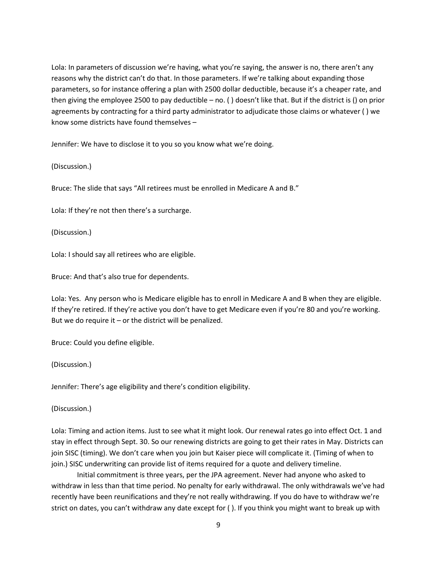Lola: In parameters of discussion we're having, what you're saying, the answer is no, there aren't any reasons why the district can't do that. In those parameters. If we're talking about expanding those parameters, so for instance offering a plan with 2500 dollar deductible, because it's a cheaper rate, and then giving the employee 2500 to pay deductible – no. ( ) doesn't like that. But if the district is () on prior agreements by contracting for a third party administrator to adjudicate those claims or whatever ( ) we know some districts have found themselves –

Jennifer: We have to disclose it to you so you know what we're doing.

(Discussion.)

Bruce: The slide that says "All retirees must be enrolled in Medicare A and B."

Lola: If they're not then there's a surcharge.

(Discussion.)

Lola: I should say all retirees who are eligible.

Bruce: And that's also true for dependents.

Lola: Yes. Any person who is Medicare eligible has to enroll in Medicare A and B when they are eligible. If they're retired. If they're active you don't have to get Medicare even if you're 80 and you're working. But we do require it  $-$  or the district will be penalized.

Bruce: Could you define eligible.

(Discussion.)

Jennifer: There's age eligibility and there's condition eligibility.

(Discussion.)

Lola: Timing and action items. Just to see what it might look. Our renewal rates go into effect Oct. 1 and stay in effect through Sept. 30. So our renewing districts are going to get their rates in May. Districts can join SISC (timing). We don't care when you join but Kaiser piece will complicate it. (Timing of when to join.) SISC underwriting can provide list of items required for a quote and delivery timeline.

Initial commitment is three years, per the JPA agreement. Never had anyone who asked to withdraw in less than that time period. No penalty for early withdrawal. The only withdrawals we've had recently have been reunifications and they're not really withdrawing. If you do have to withdraw we're strict on dates, you can't withdraw any date except for ( ). If you think you might want to break up with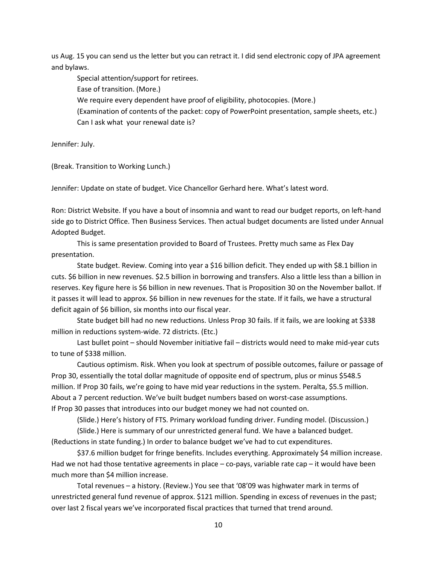us Aug. 15 you can send us the letter but you can retract it. I did send electronic copy of JPA agreement and bylaws.

Special attention/support for retirees. Ease of transition. (More.) We require every dependent have proof of eligibility, photocopies. (More.) (Examination of contents of the packet: copy of PowerPoint presentation, sample sheets, etc.) Can I ask what your renewal date is?

Jennifer: July.

(Break. Transition to Working Lunch.)

Jennifer: Update on state of budget. Vice Chancellor Gerhard here. What's latest word.

Ron: District Website. If you have a bout of insomnia and want to read our budget reports, on left-hand side go to District Office. Then Business Services. Then actual budget documents are listed under Annual Adopted Budget.

This is same presentation provided to Board of Trustees. Pretty much same as Flex Day presentation.

State budget. Review. Coming into year a \$16 billion deficit. They ended up with \$8.1 billion in cuts. \$6 billion in new revenues. \$2.5 billion in borrowing and transfers. Also a little less than a billion in reserves. Key figure here is \$6 billion in new revenues. That is Proposition 30 on the November ballot. If it passes it will lead to approx. \$6 billion in new revenues for the state. If it fails, we have a structural deficit again of \$6 billion, six months into our fiscal year.

State budget bill had no new reductions. Unless Prop 30 fails. If it fails, we are looking at \$338 million in reductions system-wide. 72 districts. (Etc.)

Last bullet point – should November initiative fail – districts would need to make mid-year cuts to tune of \$338 million.

Cautious optimism. Risk. When you look at spectrum of possible outcomes, failure or passage of Prop 30, essentially the total dollar magnitude of opposite end of spectrum, plus or minus \$548.5 million. If Prop 30 fails, we're going to have mid year reductions in the system. Peralta, \$5.5 million. About a 7 percent reduction. We've built budget numbers based on worst-case assumptions. If Prop 30 passes that introduces into our budget money we had not counted on.

(Slide.) Here's history of FTS. Primary workload funding driver. Funding model. (Discussion.)

(Slide.) Here is summary of our unrestricted general fund. We have a balanced budget. (Reductions in state funding.) In order to balance budget we've had to cut expenditures.

\$37.6 million budget for fringe benefits. Includes everything. Approximately \$4 million increase. Had we not had those tentative agreements in place – co-pays, variable rate cap – it would have been much more than \$4 million increase.

Total revenues – a history. (Review.) You see that '08'09 was highwater mark in terms of unrestricted general fund revenue of approx. \$121 million. Spending in excess of revenues in the past; over last 2 fiscal years we've incorporated fiscal practices that turned that trend around.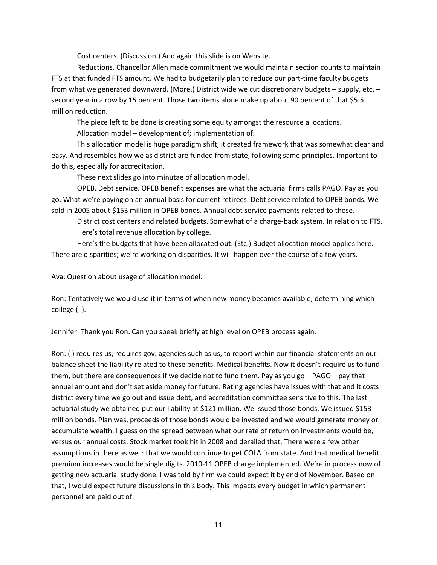Cost centers. (Discussion.) And again this slide is on Website.

Reductions. Chancellor Allen made commitment we would maintain section counts to maintain FTS at that funded FTS amount. We had to budgetarily plan to reduce our part-time faculty budgets from what we generated downward. (More.) District wide we cut discretionary budgets – supply, etc. – second year in a row by 15 percent. Those two items alone make up about 90 percent of that \$5.5 million reduction.

The piece left to be done is creating some equity amongst the resource allocations. Allocation model – development of; implementation of.

This allocation model is huge paradigm shift, it created framework that was somewhat clear and easy. And resembles how we as district are funded from state, following same principles. Important to do this, especially for accreditation.

These next slides go into minutae of allocation model.

OPEB. Debt service. OPEB benefit expenses are what the actuarial firms calls PAGO. Pay as you go. What we're paying on an annual basis for current retirees. Debt service related to OPEB bonds. We sold in 2005 about \$153 million in OPEB bonds. Annual debt service payments related to those.

District cost centers and related budgets. Somewhat of a charge-back system. In relation to FTS. Here's total revenue allocation by college.

Here's the budgets that have been allocated out. (Etc.) Budget allocation model applies here. There are disparities; we're working on disparities. It will happen over the course of a few years.

Ava: Question about usage of allocation model.

Ron: Tentatively we would use it in terms of when new money becomes available, determining which college ( ).

Jennifer: Thank you Ron. Can you speak briefly at high level on OPEB process again.

Ron: ( ) requires us, requires gov. agencies such as us, to report within our financial statements on our balance sheet the liability related to these benefits. Medical benefits. Now it doesn't require us to fund them, but there are consequences if we decide not to fund them. Pay as you go – PAGO – pay that annual amount and don't set aside money for future. Rating agencies have issues with that and it costs district every time we go out and issue debt, and accreditation committee sensitive to this. The last actuarial study we obtained put our liability at \$121 million. We issued those bonds. We issued \$153 million bonds. Plan was, proceeds of those bonds would be invested and we would generate money or accumulate wealth, I guess on the spread between what our rate of return on investments would be, versus our annual costs. Stock market took hit in 2008 and derailed that. There were a few other assumptions in there as well: that we would continue to get COLA from state. And that medical benefit premium increases would be single digits. 2010-11 OPEB charge implemented. We're in process now of getting new actuarial study done. I was told by firm we could expect it by end of November. Based on that, I would expect future discussions in this body. This impacts every budget in which permanent personnel are paid out of.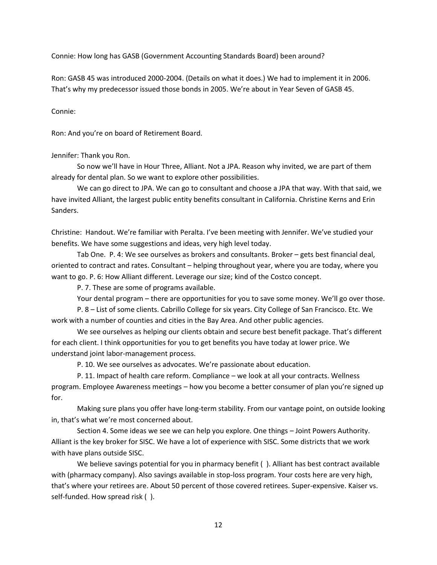Connie: How long has GASB (Government Accounting Standards Board) been around?

Ron: GASB 45 was introduced 2000-2004. (Details on what it does.) We had to implement it in 2006. That's why my predecessor issued those bonds in 2005. We're about in Year Seven of GASB 45.

Connie:

Ron: And you're on board of Retirement Board.

Jennifer: Thank you Ron.

So now we'll have in Hour Three, Alliant. Not a JPA. Reason why invited, we are part of them already for dental plan. So we want to explore other possibilities.

We can go direct to JPA. We can go to consultant and choose a JPA that way. With that said, we have invited Alliant, the largest public entity benefits consultant in California. Christine Kerns and Erin Sanders.

Christine: Handout. We're familiar with Peralta. I've been meeting with Jennifer. We've studied your benefits. We have some suggestions and ideas, very high level today.

Tab One. P. 4: We see ourselves as brokers and consultants. Broker – gets best financial deal, oriented to contract and rates. Consultant – helping throughout year, where you are today, where you want to go. P. 6: How Alliant different. Leverage our size; kind of the Costco concept.

P. 7. These are some of programs available.

Your dental program – there are opportunities for you to save some money. We'll go over those.

P. 8 – List of some clients. Cabrillo College for six years. City College of San Francisco. Etc. We work with a number of counties and cities in the Bay Area. And other public agencies.

We see ourselves as helping our clients obtain and secure best benefit package. That's different for each client. I think opportunities for you to get benefits you have today at lower price. We understand joint labor-management process.

P. 10. We see ourselves as advocates. We're passionate about education.

P. 11. Impact of health care reform. Compliance – we look at all your contracts. Wellness program. Employee Awareness meetings – how you become a better consumer of plan you're signed up for.

Making sure plans you offer have long-term stability. From our vantage point, on outside looking in, that's what we're most concerned about.

Section 4. Some ideas we see we can help you explore. One things – Joint Powers Authority. Alliant is the key broker for SISC. We have a lot of experience with SISC. Some districts that we work with have plans outside SISC.

We believe savings potential for you in pharmacy benefit (). Alliant has best contract available with (pharmacy company). Also savings available in stop-loss program. Your costs here are very high, that's where your retirees are. About 50 percent of those covered retirees. Super-expensive. Kaiser vs. self-funded. How spread risk ( ).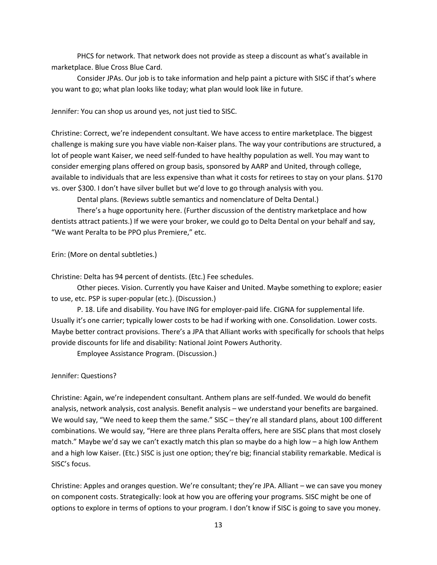PHCS for network. That network does not provide as steep a discount as what's available in marketplace. Blue Cross Blue Card.

Consider JPAs. Our job is to take information and help paint a picture with SISC if that's where you want to go; what plan looks like today; what plan would look like in future.

Jennifer: You can shop us around yes, not just tied to SISC.

Christine: Correct, we're independent consultant. We have access to entire marketplace. The biggest challenge is making sure you have viable non-Kaiser plans. The way your contributions are structured, a lot of people want Kaiser, we need self-funded to have healthy population as well. You may want to consider emerging plans offered on group basis, sponsored by AARP and United, through college, available to individuals that are less expensive than what it costs for retirees to stay on your plans. \$170 vs. over \$300. I don't have silver bullet but we'd love to go through analysis with you.

Dental plans. (Reviews subtle semantics and nomenclature of Delta Dental.)

There's a huge opportunity here. (Further discussion of the dentistry marketplace and how dentists attract patients.) If we were your broker, we could go to Delta Dental on your behalf and say, "We want Peralta to be PPO plus Premiere," etc.

Erin: (More on dental subtleties.)

Christine: Delta has 94 percent of dentists. (Etc.) Fee schedules.

Other pieces. Vision. Currently you have Kaiser and United. Maybe something to explore; easier to use, etc. PSP is super-popular (etc.). (Discussion.)

P. 18. Life and disability. You have ING for employer-paid life. CIGNA for supplemental life. Usually it's one carrier; typically lower costs to be had if working with one. Consolidation. Lower costs. Maybe better contract provisions. There's a JPA that Alliant works with specifically for schools that helps provide discounts for life and disability: National Joint Powers Authority.

Employee Assistance Program. (Discussion.)

Jennifer: Questions?

Christine: Again, we're independent consultant. Anthem plans are self-funded. We would do benefit analysis, network analysis, cost analysis. Benefit analysis – we understand your benefits are bargained. We would say, "We need to keep them the same." SISC - they're all standard plans, about 100 different combinations. We would say, "Here are three plans Peralta offers, here are SISC plans that most closely match." Maybe we'd say we can't exactly match this plan so maybe do a high low – a high low Anthem and a high low Kaiser. (Etc.) SISC is just one option; they're big; financial stability remarkable. Medical is SISC's focus.

Christine: Apples and oranges question. We're consultant; they're JPA. Alliant – we can save you money on component costs. Strategically: look at how you are offering your programs. SISC might be one of options to explore in terms of options to your program. I don't know if SISC is going to save you money.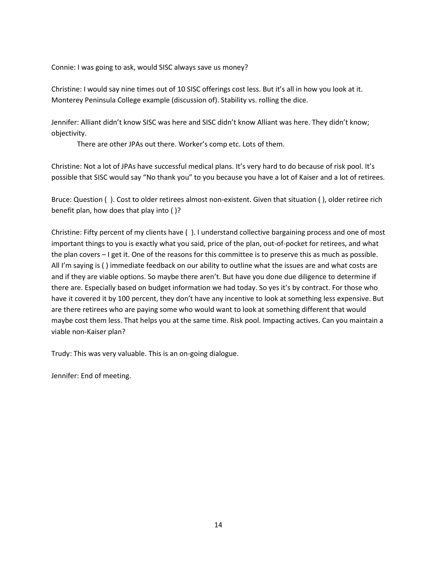Connie: I was going to ask, would SISC always save us money?

Christine: I would say nine times out of 10 SISC offerings cost less. But it's all in how you look at it. Monterey Peninsula College example (discussion of). Stability vs. rolling the dice.

Jennifer: Alliant didn't know SISC was here and SISC didn't know Alliant was here. They didn't know; objectivity.

There are other JPAs out there. Worker's comp etc. Lots of them.

Christine: Not a lot of JPAs have successful medical plans. It's very hard to do because of risk pool. It's possible that SISC would say "No thank you" to you because you have a lot of Kaiser and a lot of retirees.

Bruce: Question ( ). Cost to older retirees almost non-existent. Given that situation ( ), older retiree rich benefit plan, how does that play into ( )?

Christine: Fifty percent of my clients have ( ). I understand collective bargaining process and one of most important things to you is exactly what you said, price of the plan, out-of-pocket for retirees, and what the plan covers – I get it. One of the reasons for this committee is to preserve this as much as possible. All I'm saying is ( ) immediate feedback on our ability to outline what the issues are and what costs are and if they are viable options. So maybe there aren't. But have you done due diligence to determine if there are. Especially based on budget information we had today. So yes it's by contract. For those who have it covered it by 100 percent, they don't have any incentive to look at something less expensive. But are there retirees who are paying some who would want to look at something different that would maybe cost them less. That helps you at the same time. Risk pool. Impacting actives. Can you maintain a viable non-Kaiser plan?

Trudy: This was very valuable. This is an on-going dialogue.

Jennifer: End of meeting.